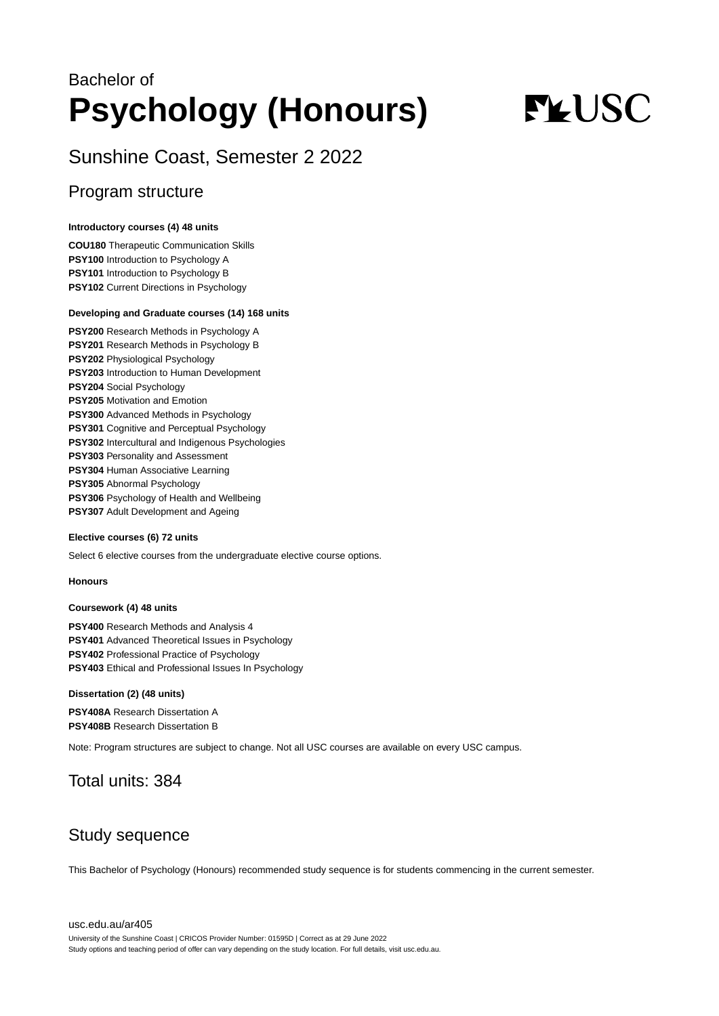## Bachelor of **Psychology (Honours)**

# **FLUSC**

## Sunshine Coast, Semester 2 2022

## Program structure

#### **Introductory courses (4) 48 units**

**COU180** Therapeutic Communication Skills **PSY100** Introduction to Psychology A **PSY101** Introduction to Psychology B **PSY102** Current Directions in Psychology

#### **Developing and Graduate courses (14) 168 units**

**PSY200** Research Methods in Psychology A **PSY201** Research Methods in Psychology B **PSY202** Physiological Psychology **PSY203** Introduction to Human Development **PSY204** Social Psychology **PSY205** Motivation and Emotion **PSY300** Advanced Methods in Psychology **PSY301** Cognitive and Perceptual Psychology **PSY302** Intercultural and Indigenous Psychologies **PSY303** Personality and Assessment **PSY304** Human Associative Learning **PSY305** Abnormal Psychology **PSY306** Psychology of Health and Wellbeing **PSY307** Adult Development and Ageing

#### **Elective courses (6) 72 units**

Select 6 elective courses from the undergraduate elective course options.

#### **Honours**

#### **Coursework (4) 48 units**

**PSY400** Research Methods and Analysis 4 **PSY401** Advanced Theoretical Issues in Psychology **PSY402** Professional Practice of Psychology **PSY403** Ethical and Professional Issues In Psychology

#### **Dissertation (2) (48 units)**

**PSY408A** Research Dissertation A **PSY408B** Research Dissertation B

Note: Program structures are subject to change. Not all USC courses are available on every USC campus.

## Total units: 384

## Study sequence

This Bachelor of Psychology (Honours) recommended study sequence is for students commencing in the current semester.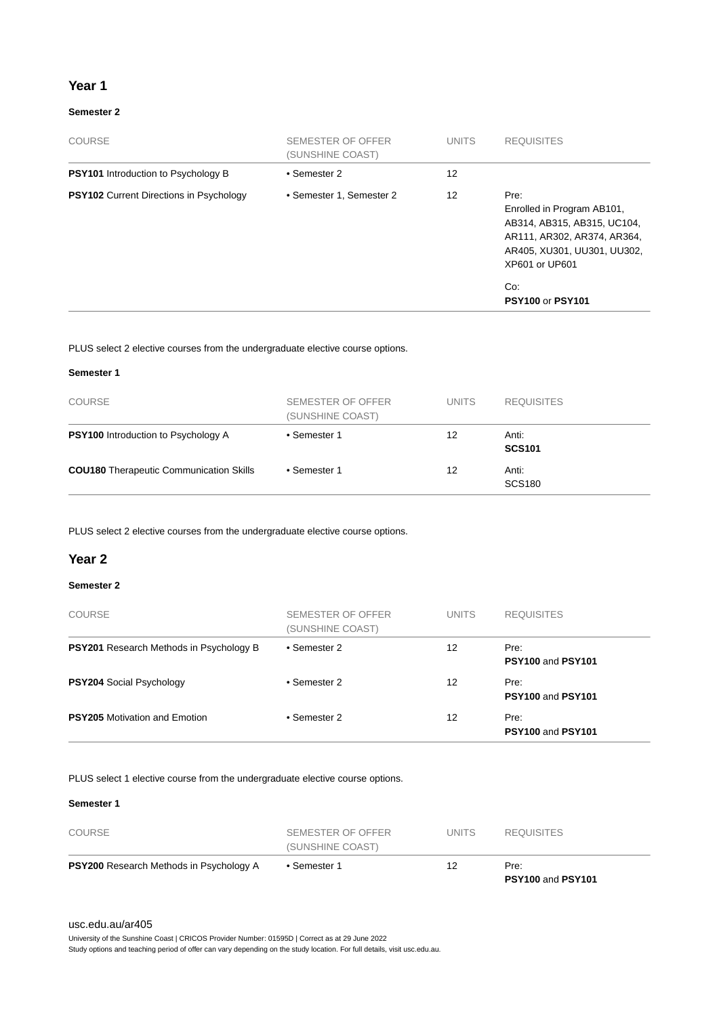#### **Year 1**

#### **Semester 2**

| <b>COURSE</b>                                  | SEMESTER OF OFFER<br>(SUNSHINE COAST) | <b>UNITS</b>      | <b>REQUISITES</b>                                                                                                                                                                   |
|------------------------------------------------|---------------------------------------|-------------------|-------------------------------------------------------------------------------------------------------------------------------------------------------------------------------------|
| <b>PSY101</b> Introduction to Psychology B     | • Semester 2                          | $12 \overline{ }$ |                                                                                                                                                                                     |
| <b>PSY102</b> Current Directions in Psychology | • Semester 1, Semester 2              | 12                | Pre:<br>Enrolled in Program AB101,<br>AB314, AB315, AB315, UC104,<br>AR111, AR302, AR374, AR364,<br>AR405, XU301, UU301, UU302,<br>XP601 or UP601<br>Co:<br><b>PSY100 or PSY101</b> |

PLUS select 2 elective courses from the undergraduate elective course options.

#### **Semester 1**

| <b>COURSE</b>                                  | SEMESTER OF OFFER<br>(SUNSHINE COAST) | <b>UNITS</b> | <b>REQUISITES</b>      |
|------------------------------------------------|---------------------------------------|--------------|------------------------|
| <b>PSY100</b> Introduction to Psychology A     | • Semester 1                          | 12           | Anti:<br><b>SCS101</b> |
| <b>COU180</b> Therapeutic Communication Skills | • Semester 1                          | 12           | Anti:<br><b>SCS180</b> |

PLUS select 2 elective courses from the undergraduate elective course options.

#### **Year 2**

#### **Semester 2**

| <b>COURSE</b>                                  | SEMESTER OF OFFER<br>(SUNSHINE COAST) | <b>UNITS</b> | <b>REQUISITES</b>         |
|------------------------------------------------|---------------------------------------|--------------|---------------------------|
| <b>PSY201</b> Research Methods in Psychology B | • Semester 2                          | 12           | Pre:<br>PSY100 and PSY101 |
| <b>PSY204 Social Psychology</b>                | • Semester 2                          | 12           | Pre:<br>PSY100 and PSY101 |
| <b>PSY205</b> Motivation and Emotion           | • Semester 2                          | 12           | Pre:<br>PSY100 and PSY101 |

PLUS select 1 elective course from the undergraduate elective course options.

#### **Semester 1**

| <b>PSY200</b> Research Methods in Psychology A | • Semester 1                          | 12    | Pre:              |  |
|------------------------------------------------|---------------------------------------|-------|-------------------|--|
| COURSE                                         | SEMESTER OF OFFER<br>(SUNSHINE COAST) | UNITS | <b>REQUISITES</b> |  |

#### [usc.edu.au/ar405](https://www.usc.edu.au/ar405)

University of the Sunshine Coast | CRICOS Provider Number: 01595D | Correct as at 29 June 2022

Study options and teaching period of offer can vary depending on the study location. For full details, visit usc.edu.au.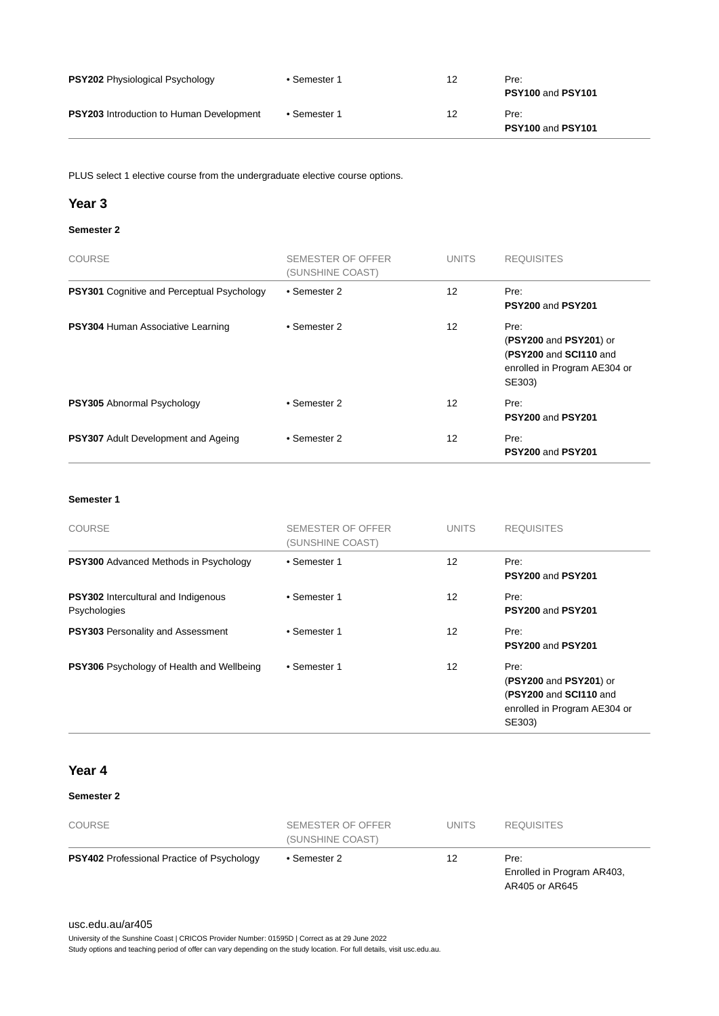| <b>PSY202</b> Physiological Psychology          | • Semester 1 | 12 | Pre:<br>PSY100 and PSY101 |
|-------------------------------------------------|--------------|----|---------------------------|
| <b>PSY203</b> Introduction to Human Development | • Semester 1 | 12 | Pre:<br>PSY100 and PSY101 |

PLUS select 1 elective course from the undergraduate elective course options.

#### **Year 3**

#### **Semester 2**

| <b>COURSE</b>                                     | SEMESTER OF OFFER<br>(SUNSHINE COAST) | <b>UNITS</b> | <b>REQUISITES</b>                                                                                  |
|---------------------------------------------------|---------------------------------------|--------------|----------------------------------------------------------------------------------------------------|
| <b>PSY301</b> Cognitive and Perceptual Psychology | • Semester 2                          | 12           | Pre:<br>PSY200 and PSY201                                                                          |
| PSY304 Human Associative Learning                 | • Semester 2                          | 12           | Pre:<br>(PSY200 and PSY201) or<br>(PSY200 and SCI110 and<br>enrolled in Program AE304 or<br>SE303) |
| <b>PSY305</b> Abnormal Psychology                 | • Semester 2                          | 12           | Pre:<br>PSY200 and PSY201                                                                          |
| <b>PSY307</b> Adult Development and Ageing        | • Semester 2                          | 12           | Pre:<br>PSY200 and PSY201                                                                          |

#### **Semester 1**

| <b>COURSE</b>                                              | <b>SEMESTER OF OFFER</b><br>(SUNSHINE COAST) | <b>UNITS</b>      | <b>REQUISITES</b>                                                                                  |
|------------------------------------------------------------|----------------------------------------------|-------------------|----------------------------------------------------------------------------------------------------|
| <b>PSY300</b> Advanced Methods in Psychology               | • Semester 1                                 | $12 \overline{ }$ | Pre:<br><b>PSY200 and PSY201</b>                                                                   |
| <b>PSY302</b> Intercultural and Indigenous<br>Psychologies | • Semester 1                                 | 12                | Pre:<br>PSY200 and PSY201                                                                          |
| <b>PSY303</b> Personality and Assessment                   | • Semester 1                                 | $12 \overline{ }$ | Pre:<br>PSY200 and PSY201                                                                          |
| <b>PSY306</b> Psychology of Health and Wellbeing           | • Semester 1                                 | 12                | Pre:<br>(PSY200 and PSY201) or<br>(PSY200 and SCI110 and<br>enrolled in Program AE304 or<br>SE303) |

#### **Year 4**

#### **Semester 2**

| <b>COURSE</b>                                     | SEMESTER OF OFFER<br>(SUNSHINE COAST) | <b>UNITS</b> | <b>REQUISITES</b>                                    |
|---------------------------------------------------|---------------------------------------|--------------|------------------------------------------------------|
| <b>PSY402</b> Professional Practice of Psychology | • Semester 2                          | 12           | Pre:<br>Enrolled in Program AR403,<br>AR405 or AR645 |

#### [usc.edu.au/ar405](https://www.usc.edu.au/ar405)

University of the Sunshine Coast | CRICOS Provider Number: 01595D | Correct as at 29 June 2022

Study options and teaching period of offer can vary depending on the study location. For full details, visit usc.edu.au.